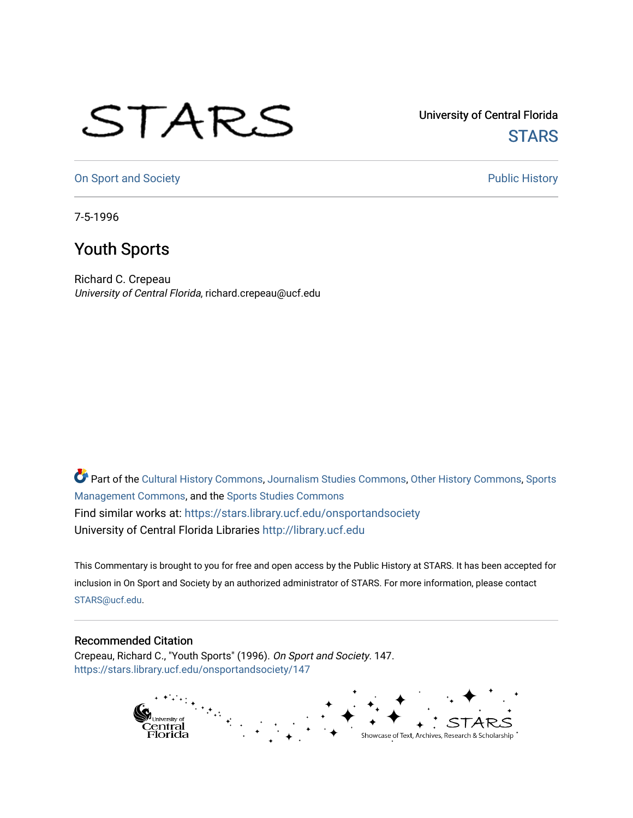## STARS

University of Central Florida **STARS** 

[On Sport and Society](https://stars.library.ucf.edu/onsportandsociety) **Public History** Public History

7-5-1996

## Youth Sports

Richard C. Crepeau University of Central Florida, richard.crepeau@ucf.edu

Part of the [Cultural History Commons](http://network.bepress.com/hgg/discipline/496?utm_source=stars.library.ucf.edu%2Fonsportandsociety%2F147&utm_medium=PDF&utm_campaign=PDFCoverPages), [Journalism Studies Commons,](http://network.bepress.com/hgg/discipline/333?utm_source=stars.library.ucf.edu%2Fonsportandsociety%2F147&utm_medium=PDF&utm_campaign=PDFCoverPages) [Other History Commons,](http://network.bepress.com/hgg/discipline/508?utm_source=stars.library.ucf.edu%2Fonsportandsociety%2F147&utm_medium=PDF&utm_campaign=PDFCoverPages) [Sports](http://network.bepress.com/hgg/discipline/1193?utm_source=stars.library.ucf.edu%2Fonsportandsociety%2F147&utm_medium=PDF&utm_campaign=PDFCoverPages) [Management Commons](http://network.bepress.com/hgg/discipline/1193?utm_source=stars.library.ucf.edu%2Fonsportandsociety%2F147&utm_medium=PDF&utm_campaign=PDFCoverPages), and the [Sports Studies Commons](http://network.bepress.com/hgg/discipline/1198?utm_source=stars.library.ucf.edu%2Fonsportandsociety%2F147&utm_medium=PDF&utm_campaign=PDFCoverPages) Find similar works at: <https://stars.library.ucf.edu/onsportandsociety> University of Central Florida Libraries [http://library.ucf.edu](http://library.ucf.edu/) 

This Commentary is brought to you for free and open access by the Public History at STARS. It has been accepted for inclusion in On Sport and Society by an authorized administrator of STARS. For more information, please contact [STARS@ucf.edu](mailto:STARS@ucf.edu).

## Recommended Citation

Crepeau, Richard C., "Youth Sports" (1996). On Sport and Society. 147. [https://stars.library.ucf.edu/onsportandsociety/147](https://stars.library.ucf.edu/onsportandsociety/147?utm_source=stars.library.ucf.edu%2Fonsportandsociety%2F147&utm_medium=PDF&utm_campaign=PDFCoverPages)

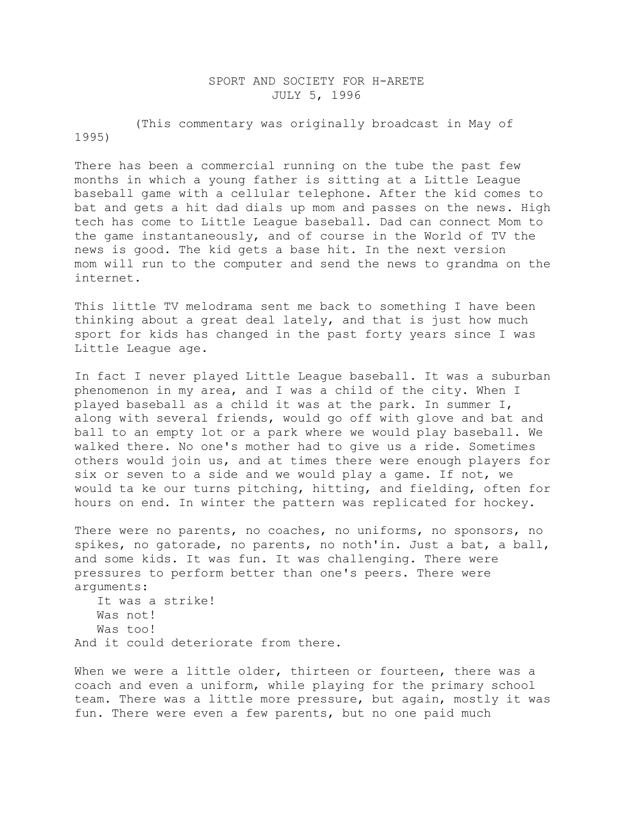## SPORT AND SOCIETY FOR H-ARETE JULY 5, 1996

 (This commentary was originally broadcast in May of 1995)

There has been a commercial running on the tube the past few months in which a young father is sitting at a Little League baseball game with a cellular telephone. After the kid comes to bat and gets a hit dad dials up mom and passes on the news. High tech has come to Little League baseball. Dad can connect Mom to the game instantaneously, and of course in the World of TV the news is good. The kid gets a base hit. In the next version mom will run to the computer and send the news to grandma on the internet.

This little TV melodrama sent me back to something I have been thinking about a great deal lately, and that is just how much sport for kids has changed in the past forty years since I was Little League age.

In fact I never played Little League baseball. It was a suburban phenomenon in my area, and I was a child of the city. When I played baseball as a child it was at the park. In summer I, along with several friends, would go off with glove and bat and ball to an empty lot or a park where we would play baseball. We walked there. No one's mother had to give us a ride. Sometimes others would join us, and at times there were enough players for six or seven to a side and we would play a game. If not, we would ta ke our turns pitching, hitting, and fielding, often for hours on end. In winter the pattern was replicated for hockey.

There were no parents, no coaches, no uniforms, no sponsors, no spikes, no gatorade, no parents, no noth'in. Just a bat, a ball, and some kids. It was fun. It was challenging. There were pressures to perform better than one's peers. There were arguments:

```
 It was a strike!
    Was not!
    Was too!
And it could deteriorate from there.
```
When we were a little older, thirteen or fourteen, there was a coach and even a uniform, while playing for the primary school team. There was a little more pressure, but again, mostly it was fun. There were even a few parents, but no one paid much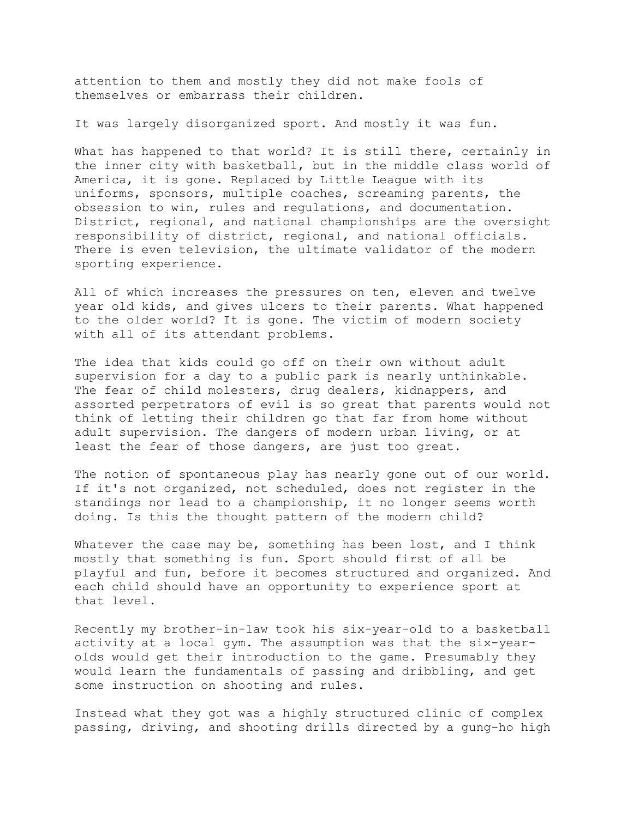attention to them and mostly they did not make fools of themselves or embarrass their children.

It was largely disorganized sport. And mostly it was fun.

What has happened to that world? It is still there, certainly in the inner city with basketball, but in the middle class world of America, it is gone. Replaced by Little League with its uniforms, sponsors, multiple coaches, screaming parents, the obsession to win, rules and regulations, and documentation. District, regional, and national championships are the oversight responsibility of district, regional, and national officials. There is even television, the ultimate validator of the modern sporting experience.

All of which increases the pressures on ten, eleven and twelve year old kids, and gives ulcers to their parents. What happened to the older world? It is gone. The victim of modern society with all of its attendant problems.

The idea that kids could go off on their own without adult supervision for a day to a public park is nearly unthinkable. The fear of child molesters, drug dealers, kidnappers, and assorted perpetrators of evil is so great that parents would not think of letting their children go that far from home without adult supervision. The dangers of modern urban living, or at least the fear of those dangers, are just too great.

The notion of spontaneous play has nearly gone out of our world. If it's not organized, not scheduled, does not register in the standings nor lead to a championship, it no longer seems worth doing. Is this the thought pattern of the modern child?

Whatever the case may be, something has been lost, and I think mostly that something is fun. Sport should first of all be playful and fun, before it becomes structured and organized. And each child should have an opportunity to experience sport at that level.

Recently my brother-in-law took his six-year-old to a basketball activity at a local gym. The assumption was that the six-yearolds would get their introduction to the game. Presumably they would learn the fundamentals of passing and dribbling, and get some instruction on shooting and rules.

Instead what they got was a highly structured clinic of complex passing, driving, and shooting drills directed by a gung-ho high